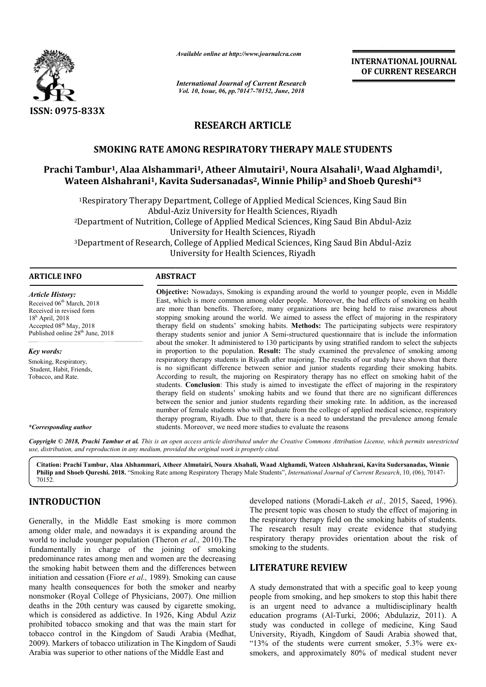

*Available online at http://www.journalcra.com*

## **RESEARCH ARTICLE**

### **SMOKING RATE AMONG RESPIRATORY THERAPY MALE STUDENTS**

# SMOKING RATE AMONG RESPIRATORY THERAPY MALE STUDENTS<br>Prachi Tambur<sup>1</sup>, Alaa Alshammari<sup>1</sup>, Atheer Almutairi<sup>1</sup>, Noura Alsahali<sup>1</sup>, Waad Alghamdi<sup>1</sup>, **Wateen Alshahrani1, Kavita Sudersanadas , Sudersanadas2, Winnie Philip3 andShoeb Qureshi\* Shoeb Qureshi\*3**

|                                                                                                                                                                                                                                                                                                                                                                                                                                                                                                                                                                                 | unuvic viime ui nup.//www.jvurnuicru.com                                                                                                                                                                                                                                                                                                                                                                                                                                                                                                                                                                                                                                                                                                                                                                                                                                                                                                                                                                                                                                                                            |                                                                                  | <b>INTERNATIONAL JOURNAL</b><br>OF CURRENT RESEARCH                                                                                                                                                                                                                                                                                                                                                                                                                                            |
|---------------------------------------------------------------------------------------------------------------------------------------------------------------------------------------------------------------------------------------------------------------------------------------------------------------------------------------------------------------------------------------------------------------------------------------------------------------------------------------------------------------------------------------------------------------------------------|---------------------------------------------------------------------------------------------------------------------------------------------------------------------------------------------------------------------------------------------------------------------------------------------------------------------------------------------------------------------------------------------------------------------------------------------------------------------------------------------------------------------------------------------------------------------------------------------------------------------------------------------------------------------------------------------------------------------------------------------------------------------------------------------------------------------------------------------------------------------------------------------------------------------------------------------------------------------------------------------------------------------------------------------------------------------------------------------------------------------|----------------------------------------------------------------------------------|------------------------------------------------------------------------------------------------------------------------------------------------------------------------------------------------------------------------------------------------------------------------------------------------------------------------------------------------------------------------------------------------------------------------------------------------------------------------------------------------|
|                                                                                                                                                                                                                                                                                                                                                                                                                                                                                                                                                                                 | <b>International Journal of Current Research</b><br>Vol. 10, Issue, 06, pp. 70147-70152, June, 2018                                                                                                                                                                                                                                                                                                                                                                                                                                                                                                                                                                                                                                                                                                                                                                                                                                                                                                                                                                                                                 |                                                                                  |                                                                                                                                                                                                                                                                                                                                                                                                                                                                                                |
| ISSN: 0975-833X                                                                                                                                                                                                                                                                                                                                                                                                                                                                                                                                                                 |                                                                                                                                                                                                                                                                                                                                                                                                                                                                                                                                                                                                                                                                                                                                                                                                                                                                                                                                                                                                                                                                                                                     |                                                                                  |                                                                                                                                                                                                                                                                                                                                                                                                                                                                                                |
|                                                                                                                                                                                                                                                                                                                                                                                                                                                                                                                                                                                 |                                                                                                                                                                                                                                                                                                                                                                                                                                                                                                                                                                                                                                                                                                                                                                                                                                                                                                                                                                                                                                                                                                                     | <b>RESEARCH ARTICLE</b>                                                          |                                                                                                                                                                                                                                                                                                                                                                                                                                                                                                |
|                                                                                                                                                                                                                                                                                                                                                                                                                                                                                                                                                                                 | <b>SMOKING RATE AMONG RESPIRATORY THERAPY MALE STUDENTS</b>                                                                                                                                                                                                                                                                                                                                                                                                                                                                                                                                                                                                                                                                                                                                                                                                                                                                                                                                                                                                                                                         |                                                                                  |                                                                                                                                                                                                                                                                                                                                                                                                                                                                                                |
|                                                                                                                                                                                                                                                                                                                                                                                                                                                                                                                                                                                 | Prachi Tambur <sup>1</sup> , Alaa Alshammari <sup>1</sup> , Atheer Almutairi <sup>1</sup> , Noura Alsahali <sup>1</sup> , Waad Alghamdi <sup>1</sup> ,<br>Wateen Alshahrani <sup>1</sup> , Kavita Sudersanadas <sup>2</sup> , Winnie Philip <sup>3</sup> and Shoeb Qureshi <sup>*3</sup>                                                                                                                                                                                                                                                                                                                                                                                                                                                                                                                                                                                                                                                                                                                                                                                                                            |                                                                                  |                                                                                                                                                                                                                                                                                                                                                                                                                                                                                                |
|                                                                                                                                                                                                                                                                                                                                                                                                                                                                                                                                                                                 | <sup>1</sup> Respiratory Therapy Department, College of Applied Medical Sciences, King Saud Bin                                                                                                                                                                                                                                                                                                                                                                                                                                                                                                                                                                                                                                                                                                                                                                                                                                                                                                                                                                                                                     | Abdul-Aziz University for Health Sciences, Riyadh                                |                                                                                                                                                                                                                                                                                                                                                                                                                                                                                                |
|                                                                                                                                                                                                                                                                                                                                                                                                                                                                                                                                                                                 | <sup>2</sup> Department of Nutrition, College of Applied Medical Sciences, King Saud Bin Abdul-Aziz                                                                                                                                                                                                                                                                                                                                                                                                                                                                                                                                                                                                                                                                                                                                                                                                                                                                                                                                                                                                                 |                                                                                  |                                                                                                                                                                                                                                                                                                                                                                                                                                                                                                |
|                                                                                                                                                                                                                                                                                                                                                                                                                                                                                                                                                                                 | <sup>3</sup> Department of Research, College of Applied Medical Sciences, King Saud Bin Abdul-Aziz                                                                                                                                                                                                                                                                                                                                                                                                                                                                                                                                                                                                                                                                                                                                                                                                                                                                                                                                                                                                                  | University for Health Sciences, Riyadh<br>University for Health Sciences, Riyadh |                                                                                                                                                                                                                                                                                                                                                                                                                                                                                                |
| <b>ARTICLE INFO</b>                                                                                                                                                                                                                                                                                                                                                                                                                                                                                                                                                             | <b>ABSTRACT</b>                                                                                                                                                                                                                                                                                                                                                                                                                                                                                                                                                                                                                                                                                                                                                                                                                                                                                                                                                                                                                                                                                                     |                                                                                  |                                                                                                                                                                                                                                                                                                                                                                                                                                                                                                |
| <b>Article History:</b><br>Received 06 <sup>th</sup> March, 2018<br>Received in revised form<br>$18h$ April, 2018<br>Accepted 08th May, 2018<br>Published online 28 <sup>th</sup> June, 2018                                                                                                                                                                                                                                                                                                                                                                                    | Objective: Nowadays, Smoking is expanding around the world to younger people, even in Middle<br>East, which is more common among older people. Moreover, the bad effects of smoking on health<br>are more than benefits. Therefore, many organizations are being held to raise awareness about<br>stopping smoking around the world. We aimed to assess the effect of majoring in the respiratory<br>therapy field on students' smoking habits. Methods: The participating subjects were respiratory<br>therapy students senior and junior A Semi-structured questionnaire that is include the information                                                                                                                                                                                                                                                                                                                                                                                                                                                                                                          |                                                                                  |                                                                                                                                                                                                                                                                                                                                                                                                                                                                                                |
| <b>Key words:</b><br>Smoking, Respiratory,<br>Student, Habit, Friends,<br>Tobacco, and Rate.<br>*Corresponding author                                                                                                                                                                                                                                                                                                                                                                                                                                                           | about the smoker. It administered to 130 participants by using stratified random to select the subjects<br>in proportion to the population. Result: The study examined the prevalence of smoking among<br>respiratory therapy students in Riyadh after majoring. The results of our study have shown that there<br>is no significant difference between senior and junior students regarding their smoking habits.<br>According to result, the majoring on Respiratory therapy has no effect on smoking habit of the<br>students. Conclusion: This study is aimed to investigate the effect of majoring in the respiratory<br>therapy field on students' smoking habits and we found that there are no significant differences<br>between the senior and junior students regarding their smoking rate. In addition, as the increased<br>number of female students who will graduate from the college of applied medical science, respiratory<br>therapy program, Riyadh. Due to that, there is a need to understand the prevalence among female<br>students. Moreover, we need more studies to evaluate the reasons |                                                                                  |                                                                                                                                                                                                                                                                                                                                                                                                                                                                                                |
|                                                                                                                                                                                                                                                                                                                                                                                                                                                                                                                                                                                 | use, distribution, and reproduction in any medium, provided the original work is properly cited.                                                                                                                                                                                                                                                                                                                                                                                                                                                                                                                                                                                                                                                                                                                                                                                                                                                                                                                                                                                                                    |                                                                                  | Copyright © 2018, Prachi Tambur et al. This is an open access article distributed under the Creative Commons Attribution License, which permits unrestricted                                                                                                                                                                                                                                                                                                                                   |
| 70152.                                                                                                                                                                                                                                                                                                                                                                                                                                                                                                                                                                          | Citation: Prachi Tambur, Alaa Alshammari, Atheer Almutairi, Noura Alsahali, Waad Alghamdi, Wateen Alshahrani, Kavita Sudersanadas, Winnie<br>Philip and Shoeb Qureshi. 2018. "Smoking Rate among Respiratory Therapy Male Students", International Journal of Current Research, 10, (06), 70147-                                                                                                                                                                                                                                                                                                                                                                                                                                                                                                                                                                                                                                                                                                                                                                                                                    |                                                                                  |                                                                                                                                                                                                                                                                                                                                                                                                                                                                                                |
| <b>INTRODUCTION</b><br>Generally, in the Middle East smoking is more common<br>among older male, and nowadays it is expanding around the<br>world to include younger population (Theron et al., 2010). The<br>fundamentally in charge of the joining of smoking                                                                                                                                                                                                                                                                                                                 |                                                                                                                                                                                                                                                                                                                                                                                                                                                                                                                                                                                                                                                                                                                                                                                                                                                                                                                                                                                                                                                                                                                     | smoking to the students.                                                         | developed nations (Moradi-Lakeh et al., 2015, Saeed, 1996).<br>The present topic was chosen to study the effect of majoring in<br>the respiratory therapy field on the smoking habits of students.<br>The research result may create evidence that studying<br>respiratory therapy provides orientation about the risk of                                                                                                                                                                      |
|                                                                                                                                                                                                                                                                                                                                                                                                                                                                                                                                                                                 | predominance rates among men and women are the decreasing<br>the smoking habit between them and the differences between                                                                                                                                                                                                                                                                                                                                                                                                                                                                                                                                                                                                                                                                                                                                                                                                                                                                                                                                                                                             | <b>LITERATURE REVIEW</b>                                                         |                                                                                                                                                                                                                                                                                                                                                                                                                                                                                                |
| initiation and cessation (Fiore et al., 1989). Smoking can cause<br>many health consequences for both the smoker and nearby<br>nonsmoker (Royal College of Physicians, 2007). One million<br>deaths in the 20th century was caused by cigarette smoking,<br>which is considered as addictive. In 1926, King Abdul Aziz<br>prohibited tobacco smoking and that was the main start for<br>tobacco control in the Kingdom of Saudi Arabia (Medhat,<br>2009). Markers of tobacco utilization in The Kingdom of Saudi<br>Arabia was superior to other nations of the Middle East and |                                                                                                                                                                                                                                                                                                                                                                                                                                                                                                                                                                                                                                                                                                                                                                                                                                                                                                                                                                                                                                                                                                                     |                                                                                  | A study demonstrated that with a specific goal to keep young<br>people from smoking, and hep smokers to stop this habit there<br>is an urgent need to advance a multidisciplinary health<br>education programs (Al-Turki, 2006; Abdulaziz, 2011). A<br>study was conducted in college of medicine, King Saud<br>University, Riyadh, Kingdom of Saudi Arabia showed that,<br>"13% of the students were current smoker, 5.3% were ex-<br>smokers, and approximately 80% of medical student never |

### **INTRODUCTION**

### **LITERATURE REVIEW**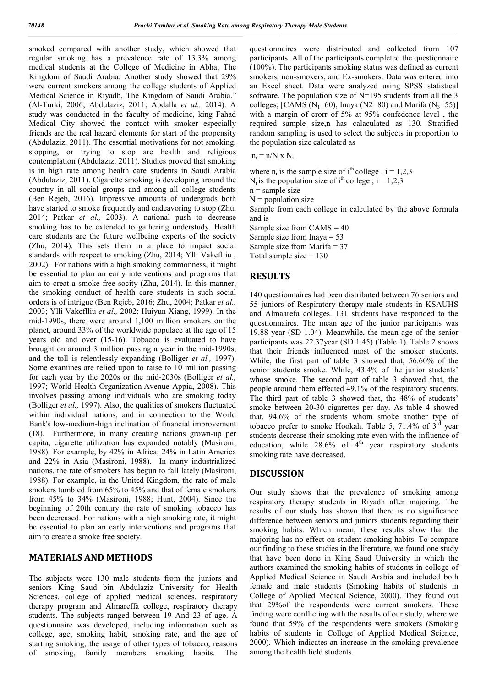smoked compared with another study, which showed that regular smoking has a prevalence rate of 13.3% among medical students at the College of Medicine in Abha, The Kingdom of Saudi Arabia. Another study showed that 29% were current smokers among the college students of Applied Medical Science in Riyadh, The Kingdom of Saudi Arabia." (Al-Turki, 2006; Abdulaziz, 2011; Abdalla *et al.,* 2014). A study was conducted in the faculty of medicine, king Fahad Medical City showed the contact with smoker especially friends are the real hazard elements for start of the propensity (Abdulaziz, 2011). The essential motivations for not smoking, stopping, or trying to stop are health and religious contemplation (Abdulaziz, 2011). Studies proved that smoking is in high rate among health care students in Saudi Arabia (Abdulaziz, 2011). Cigarette smoking is developing around the country in all social groups and among all college students (Ben Rejeb, 2016). Impressive amounts of undergrads both have started to smoke frequently and endeavoring to stop (Zhu, 2014; Patkar *et al.,* 2003). A national push to decrease smoking has to be extended to gathering understudy. Health care students are the future wellbeing experts of the society (Zhu, 2014). This sets them in a place to impact social standards with respect to smoking (Zhu, 2014; Ylli Vakeflliu , 2002). For nations with a high smoking commonness, it might be essential to plan an early interventions and programs that aim to creat a smoke free socity (Zhu, 2014). In this manner, the smoking conduct of health care students in such social orders is of intrigue (Ben Rejeb, 2016; Zhu, 2004; Patkar *et al.,*  2003; Ylli Vakeflliu *et al.,* 2002; Huiyun Xiang, 1999). In the mid-1990s, there were around 1,100 million smokers on the planet, around 33% of the worldwide populace at the age of 15 years old and over (15-16). Tobacco is evaluated to have brought on around 3 million passing a year in the mid-1990s, and the toll is relentlessly expanding (Bolliger *et al.,* 1997). Some examines are relied upon to raise to 10 million passing for each year by the 2020s or the mid-2030s (Bolliger *et al.,*  1997; World Health Organization Avenue Appia, 2008). This involves passing among individuals who are smoking today (Bolliger *et al.,* 1997). Also, the qualities of smokers fluctuated within individual nations, and in connection to the World Bank's low-medium-high inclination of financial improvement (18). Furthermore, in many creating nations grown-up per capita, cigarette utilization has expanded notably (Masironi, 1988). For example, by 42% in Africa, 24% in Latin America and 22% in Asia (Masironi, 1988). In many industrialized nations, the rate of smokers has begun to fall lately (Masironi, 1988). For example, in the United Kingdom, the rate of male smokers tumbled from 65% to 45% and that of female smokers from 45% to 34% (Masironi, 1988; Hunt, 2004). Since the beginning of 20th century the rate of smoking tobacco has been decreased. For nations with a high smoking rate, it might be essential to plan an early interventions and programs that aim to create a smoke free society.

### **MATERIALS AND METHODS**

The subjects were 130 male students from the juniors and seniors King Saud bin Abdulaziz University for Health Sciences, college of applied medical sciences, respiratory therapy program and Almareffa college, respiratory therapy students. The subjects ranged between 19 And 23 of age. A questionnaire was developed, including information such as college, age, smoking habit, smoking rate, and the age of starting smoking, the usage of other types of tobacco, reasons of smoking, family members smoking habits. The

questionnaires were distributed and collected from 107 participants. All of the participants completed the questionnaire (100%). The participants smoking status was defined as current smokers, non-smokers, and Ex-smokers. Data was entered into an Excel sheet. Data were analyzed using SPSS statistical software. The population size of N=195 students from all the 3 colleges; [CAMS (N<sub>1</sub>=60), Inaya (N2=80) and Marifa (N<sub>3</sub>=55)] with a margin of erorr of 5% at 95% confedence level , the required sample size,n has calaculated as 130. Stratified random sampling is used to select the subjects in proportion to the population size calculated as

 $n_i = n/N \times N_i$ 

- where  $n_i$  is the sample size of i<sup>th</sup> college ; i = 1,2,3
- N<sub>i</sub> is the population size of i<sup>th</sup> college ; i = 1,2,3

 $n =$ sample size

 $N =$  population size

Sample from each college in calculated by the above formula and is

Sample size from CAMS = 40

Sample size from Inaya = 53

Sample size from Marifa = 37

Total sample size  $= 130$ 

### **RESULTS**

140 questionnaires had been distributed between 76 seniors and 55 juniors of Respiratory therapy male students in KSAUHS and Almaarefa colleges. 131 students have responded to the questionnaires. The mean age of the junior participants was 19.88 year (SD 1.04). Meanwhile, the mean age of the senior participants was 22.37year (SD 1.45) (Table 1). Table 2 shows that their friends influenced most of the smoker students. While, the first part of table 3 showed that, 56.60% of the senior students smoke. While, 43.4% of the junior students' whose smoke. The second part of table 3 showed that, the people around them effected 49.1% of the respiratory students. The third part of table 3 showed that, the 48% of students' smoke between 20-30 cigarettes per day. As table 4 showed that, 94.6% of the students whom smoke another type of tobacco prefer to smoke Hookah. Table 5, 71.4% of 3<sup>rd</sup> year students decrease their smoking rate even with the influence of education, while  $28.6\%$  of  $4^{\text{th}}$  year respiratory students smoking rate have decreased.

### **DISCUSSION**

Our study shows that the prevalence of smoking among respiratory therapy students in Riyadh after majoring. The results of our study has shown that there is no significance difference between seniors and juniors students regarding their smoking habits. Which mean, these results show that the majoring has no effect on student smoking habits. To compare our finding to these studies in the literature, we found one study that have been done in King Saud University in which the authors examined the smoking habits of students in college of Applied Medical Science in Saudi Arabia and included both female and male students (Smoking habits of students in College of Applied Medical Science, 2000). They found out that 29%of the respondents were current smokers. These finding were conflicting with the results of our study, where we found that 59% of the respondents were smokers (Smoking habits of students in College of Applied Medical Science, 2000). Which indicates an increase in the smoking prevalence among the health field students.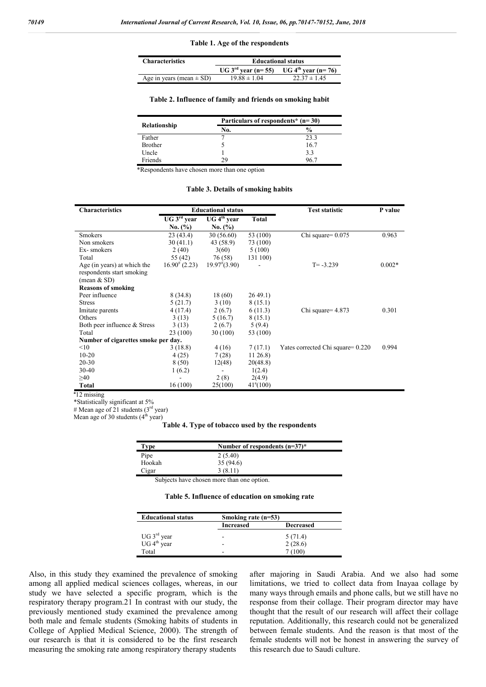#### **Table 1. Age of the respondents**

| <b>Characteristics</b>       | <b>Educational status</b>                             |                  |  |
|------------------------------|-------------------------------------------------------|------------------|--|
|                              | $UG 3rd year (n= 55)$ UG 4 <sup>th</sup> year (n= 76) |                  |  |
| Age in years (mean $\pm$ SD) | $19.88 \pm 1.04$                                      | $22.37 \pm 1.45$ |  |

#### **Table 2. Influence of family and friends on smoking habit**

|                | Particulars of respondents* $(n=30)$ |               |
|----------------|--------------------------------------|---------------|
| Relationship   | No.                                  | $\frac{0}{0}$ |
| Father         |                                      | 23.3          |
| <b>Brother</b> |                                      | 16.7          |
| Uncle          |                                      | 3.3           |
| Friends        | 29                                   | 96.7          |

\*Respondents have chosen more than one option

#### **Table 3. Details of smoking habits**

| <b>Characteristics</b>              | <b>Educational status</b> |                         | <b>Test statistic</b> | P value                           |          |
|-------------------------------------|---------------------------|-------------------------|-----------------------|-----------------------------------|----------|
|                                     | UG 3 <sup>rd</sup> year   | UG 4 <sup>th</sup> year | Total                 |                                   |          |
|                                     | No. (%)                   | No. $(\% )$             |                       |                                   |          |
| <b>Smokers</b>                      | 23(43.4)                  | 30 (56.60)              | 53 (100)              | Chi square= $0.075$               | 0.963    |
| Non smokers                         | 30(41.1)                  | 43 (58.9)               | 73 (100)              |                                   |          |
| Ex-smokers                          | 2(40)                     | 3(60)                   | 5(100)                |                                   |          |
| Total                               | 55 $(42)$                 | 76 (58)                 | 131 100)              |                                   |          |
| Age (in years) at which the         | $16.90^{*}$ (2.23)        | $19.97^{\#}(3.90)$      |                       | $T = -3.239$                      | $0.002*$ |
| respondents start smoking           |                           |                         |                       |                                   |          |
| (mean $&$ SD)                       |                           |                         |                       |                                   |          |
| <b>Reasons of smoking</b>           |                           |                         |                       |                                   |          |
| Peer influence                      | 8(34.8)                   | 18 (60)                 | 2649.1                |                                   |          |
| <b>Stress</b>                       | 5(21.7)                   | 3(10)                   | 8(15.1)               |                                   |          |
| Imitate parents                     | 4(17.4)                   | 2(6.7)                  | 6(11.3)               | Chi square = $4.873$              | 0.301    |
| Others                              | 3(13)                     | 5(16.7)                 | 8(15.1)               |                                   |          |
| Both peer influence & Stress        | 3(13)                     | 2(6.7)                  | 5(9.4)                |                                   |          |
| Total                               | 23 (100)                  | 30 (100)                | 53 (100)              |                                   |          |
| Number of cigarettes smoke per day. |                           |                         |                       |                                   |          |
| <10                                 | 3(18.8)                   | 4(16)                   | 7(17.1)               | Yates corrected Chi square= 0.220 | 0.994    |
| $10 - 20$                           | 4(25)                     | 7(28)                   | $11\,26.8$            |                                   |          |
| $20 - 30$                           | 8 (50)                    | 12(48)                  | 20(48.8)              |                                   |          |
| $30 - 40$                           | 1(6.2)                    |                         | 1(2.4)                |                                   |          |
| $\geq 40$                           |                           | 2(8)                    | 2(4.9)                |                                   |          |
| <b>Total</b>                        | 16(100)                   | 25(100)                 | $41^{\circ}(100)$     |                                   |          |

**a** 12 missing

\*Statistically significant at 5%

# Mean age of 21 students ( $3<sup>rd</sup>$  year)

Mean age of 30 students  $(4<sup>th</sup>$  year)

#### **Table 4. Type of tobacco used by the respondents**

| Type   | Number of respondents $(n=37)^*$ |
|--------|----------------------------------|
| Pipe   | 2(5.40)                          |
| Hookah | 35(94.6)                         |
| Cigar  | 3(8.11)                          |

Subjects have chosen more than one option.

#### **Table 5. Influence of education on smoking rate**

| <b>Educational status</b>                          |                  | Smoking rate $(n=53)$ |  |
|----------------------------------------------------|------------------|-----------------------|--|
|                                                    | <b>Increased</b> | <b>Decreased</b>      |  |
|                                                    | -                | 5(71.4)               |  |
| UG $3^{\text{rd}}$ year<br>UG $4^{\text{th}}$ year | -                | 2(28.6)               |  |
| Total                                              | -                | (100)                 |  |

Also, in this study they examined the prevalence of smoking among all applied medical sciences collages, whereas, in our study we have selected a specific program, which is the respiratory therapy program.21 In contrast with our study, the previously mentioned study examined the prevalence among both male and female students (Smoking habits of students in College of Applied Medical Science, 2000). The strength of our research is that it is considered to be the first research measuring the smoking rate among respiratory therapy students

after majoring in Saudi Arabia. And we also had some limitations, we tried to collect data from Inayaa collage by many ways through emails and phone calls, but we still have no response from their collage. Their program director may have thought that the result of our research will affect their collage reputation. Additionally, this research could not be generalized between female students. And the reason is that most of the female students will not be honest in answering the survey of this research due to Saudi culture.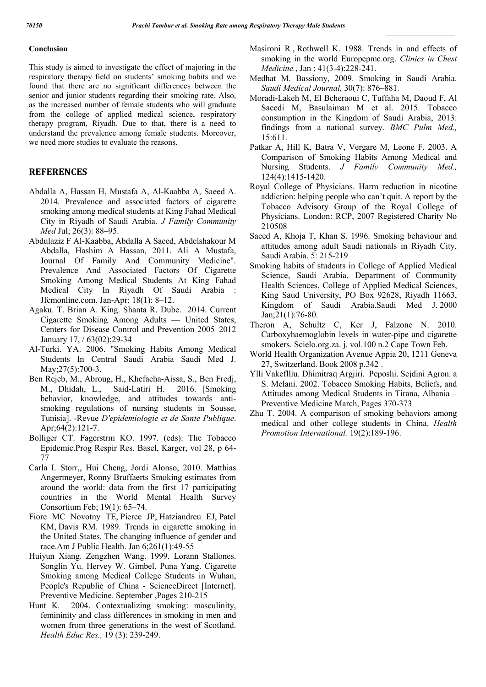### **Conclusion**

This study is aimed to investigate the effect of majoring in the respiratory therapy field on students' smoking habits and we found that there are no significant differences between the senior and junior students regarding their smoking rate. Also, as the increased number of female students who will graduate from the college of applied medical science, respiratory therapy program, Riyadh. Due to that, there is a need to understand the prevalence among female students. Moreover, we need more studies to evaluate the reasons.

### **REFERENCES**

- Abdalla A, Hassan H, Mustafa A, Al-Kaabba A, Saeed A. 2014. Prevalence and associated factors of cigarette smoking among medical students at King Fahad Medical City in Riyadh of Saudi Arabia. *J Family Community Med* Jul; 26(3): 88–95.
- Abdulaziz F Al-Kaabba, Abdalla A Saeed, Abdelshakour M Abdalla, Hashim A Hassan, 2011. Ali A Mustafa, Journal Of Family And Community Medicine". Prevalence And Associated Factors Of Cigarette Smoking Among Medical Students At King Fahad Medical City In Riyadh Of Saudi Arabia : Jfcmonline.com. Jan-Apr; 18(1): 8–12.
- Agaku. T. Brian A. King. Shanta R. Dube. 2014. Current Cigarette Smoking Among Adults — United States, Centers for Disease Control and Prevention 2005–2012 January 17, / 63(02);29-34
- Al-Turki. YA. 2006. "Smoking Habits Among Medical Students In Central Saudi Arabia Saudi Med J. May; 27(5): 700-3.
- Ben Rejeb, M., Abroug, H., Khefacha-Aissa, S., Ben Fredj, M., Dhidah, L., Said-Latiri H. 2016. [Smoking behavior, knowledge, and attitudes towards antismoking regulations of nursing students in Sousse, Tunisia]. -Revue *D'epidemiologie et de Sante Publique*. Apr;64(2):121-7.
- Bolliger CT. Fagerstrm KO. 1997. (eds): The Tobacco Epidemic.Prog Respir Res. Basel, Karger, vol 28, p 64- 77
- Carla L Storr,, Hui Cheng, Jordi Alonso, 2010. Matthias Angermeyer, Ronny Bruffaerts Smoking estimates from around the world: data from the first 17 participating countries in the World Mental Health Survey Consortium Feb; 19(1): 65–74.
- Fiore MC Novotny TE, Pierce JP, Hatziandreu EJ, Patel KM, Davis RM. 1989. Trends in cigarette smoking in the United States. The changing influence of gender and race.Am J Public Health. Jan 6;261(1):49-55
- Huiyun Xiang. Zengzhen Wang. 1999. Lorann Stallones. Songlin Yu. Hervey W. Gimbel. Puna Yang. Cigarette Smoking among Medical College Students in Wuhan, People's Republic of China - ScienceDirect [Internet]. Preventive Medicine. September ,Pages 210-215
- Hunt K. 2004. Contextualizing smoking: masculinity, femininity and class differences in smoking in men and women from three generations in the west of Scotland. *Health Educ Res.,* 19 (3): 239-249.
- Masironi R , Rothwell K. 1988. Trends in and effects of smoking in the world Europepmc.org. *Clinics in Chest Medicine.*, Jan ; 41(3-4):228-241.
- Medhat M. Bassiony, 2009. Smoking in Saudi Arabia. *Saudi Medical Journal,* 30(7): 876–881.
- Moradi-Lakeh M, El Bcheraoui C, Tuffaha M, Daoud F, Al Saeedi M, Basulaiman M et al. 2015. Tobacco consumption in the Kingdom of Saudi Arabia, 2013: findings from a national survey. *BMC Pulm Med.,* 15:611.
- Patkar A, Hill K, Batra V, Vergare M, Leone F. 2003. A Comparison of Smoking Habits Among Medical and Nursing Students. *J Family Community Med.,* 124(4):1415-1420.
- Royal College of Physicians. Harm reduction in nicotine addiction: helping people who can't quit. A report by the Tobacco Advisory Group of the Royal College of Physicians. London: RCP, 2007 Registered Charity No 210508
- Saeed A, Khoja T, Khan S. 1996. Smoking behaviour and attitudes among adult Saudi nationals in Riyadh City, Saudi Arabia. 5: 215-219
- Smoking habits of students in College of Applied Medical Science, Saudi Arabia. Department of Community Health Sciences, College of Applied Medical Sciences, King Saud University, PO Box 92628, Riyadh 11663, Kingdom of Saudi Arabia.Saudi Med J. 2000 Jan;21(1):76-80.
- Theron A, Schultz C, Ker J, Falzone N. 2010. Carboxyhaemoglobin levels in water-pipe and cigarette smokers. Scielo.org.za. j. vol.100 n.2 Cape Town Feb.
- World Health Organization Avenue Appia 20, 1211 Geneva 27, Switzerland. Book 2008 p.342 .
- Ylli Vakeflliu. Dhimitraq Argjiri. Peposhi. Sejdini Agron. a S. Melani. 2002. Tobacco Smoking Habits, Beliefs, and Attitudes among Medical Students in Tirana, Albania – Preventive Medicine March, Pages 370-373
- Zhu T. 2004. A comparison of smoking behaviors among medical and other college students in China. *Health Promotion International.* 19(2):189-196.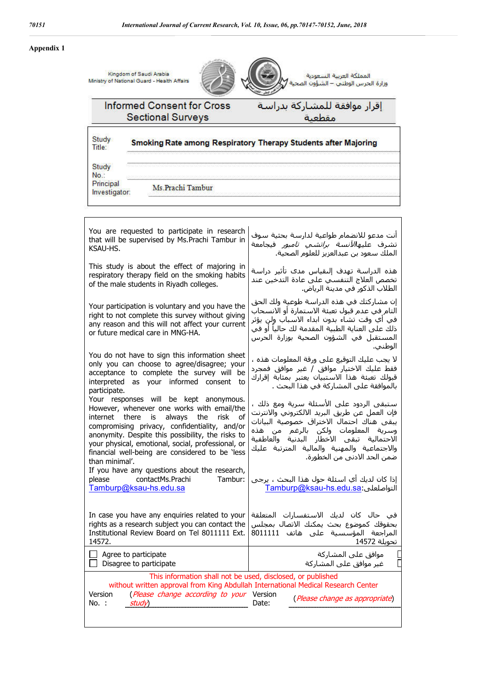### **Appendix 1**

|                                             | Kingdom of Saudi Arabia<br>Ministry of National Guard - Health Affairs                                                                                                                                                                                                                                                                        | المملكة العربية السعودية<br>وزارة الحرس الوطني – الشؤون الصحية                                                                                                                                                                                                                                         |
|---------------------------------------------|-----------------------------------------------------------------------------------------------------------------------------------------------------------------------------------------------------------------------------------------------------------------------------------------------------------------------------------------------|--------------------------------------------------------------------------------------------------------------------------------------------------------------------------------------------------------------------------------------------------------------------------------------------------------|
|                                             | <b>Informed Consent for Cross</b><br><b>Sectional Surveys</b>                                                                                                                                                                                                                                                                                 | إقرار موافقة للمشاركة بدراسة<br>مقطعتة                                                                                                                                                                                                                                                                 |
| Study<br>Title:                             |                                                                                                                                                                                                                                                                                                                                               | Smoking Rate among Respiratory Therapy Students after Majoring                                                                                                                                                                                                                                         |
| Study<br>No.:<br>Principal<br>Investigator: | Ms.Prachi Tambur                                                                                                                                                                                                                                                                                                                              |                                                                                                                                                                                                                                                                                                        |
| KSAU-HS.                                    | You are requested to participate in research<br>that will be supervised by Ms. Prachi Tambur in                                                                                                                                                                                                                                               | أنت مدعو للانضمام طواعية لدارسة بحثية سوف<br>تشرف عليها <i>لآنسة براتشي تامبور</i> فيجامعة<br>الملك سعود بن عبدالعزيز للعلوم الصحية.                                                                                                                                                                   |
|                                             | This study is about the effect of majoring in<br>respiratory therapy field on the smoking habits<br>of the male students in Riyadh colleges.                                                                                                                                                                                                  | هذه الدراسة تهدف إلىقياس مدى تأثير دراسة<br>تخصص العلاج التنفسي علي عادة التدخين عند<br>الطلاب الذكور في مدينة الرياض.                                                                                                                                                                                 |
|                                             | Your participation is voluntary and you have the<br>right to not complete this survey without giving<br>any reason and this will not affect your current<br>or future medical care in MNG-HA.                                                                                                                                                 | إن مشاركتك في هذه الدراسة طوعية ولك الحق<br>التام في عدم قبول تعبئة الاستمارة أو الانسحاب<br>في أي وقت تشاء بدون ابداء الاسباب ولن يؤثر<br>ذلك على العناية الطبية المقدمة لك حالياً أو في<br>المستقبل في الشؤون الصحية بوزارة الحرس<br>الوطني.                                                         |
| participate.                                | You do not have to sign this information sheet<br>only you can choose to agree/disagree; your<br>acceptance to complete the survey will be<br>interpreted as your informed consent to                                                                                                                                                         | لا يجب عليك التوقيع على ورقة المعلومات هذه ،<br>فقط عليك الاختيار موافق / غير موافق فمجرد<br>قبولك تعبئة هذا الاستبيان يعتبر بمثابة إقرارك<br>بالموافقة على المشاركة في هذا البحث .                                                                                                                    |
| internet<br>than minimal'.                  | Your responses will be kept anonymous.<br>However, whenever one works with email/the<br>the<br>risk<br>there is<br>always<br>of<br>compromising privacy, confidentiality, and/or<br>anonymity. Despite this possibility, the risks to<br>your physical, emotional, social, professional, or<br>financial well-being are considered to be less | ستبقى الردود على الأسئلة سرية ومع ذلك ،<br>فإن العمل عن طريق البريد الالكتروني والانترنت<br>يبقى هناك احتمال الاختراق خصوصية البيانات<br>وسرية المعلومات ولكن بالرغم من هذه<br>الاحتمالية تبقى الاخطار البدنية والعاطفية<br>والاجتماعية والمهنية والمالية المترتبة عليك<br>ضمن الحد الادني من الخطورة. |
| please                                      | If you have any questions about the research,<br>contactMs.Prachi<br>Tambur:<br>Tamburp@ksau-hs.edu.sa                                                                                                                                                                                                                                        | إذا كان لديك أي اسئلة حول هذا البحث ، يرجى<br>التواصلعلى:Tamburp@ksau-hs.edu.sa                                                                                                                                                                                                                        |
| 14572.                                      | In case you have any enquiries related to your<br>rights as a research subject you can contact the<br>Institutional Review Board on Tel 8011111 Ext.                                                                                                                                                                                          | في حال كان لديك الاستفسارات المتعلقة<br>بحقوقك كموضوع بحث يمكنك الاتصال بمجلس<br>المراجعة المؤسسية على هاتف 8011111<br>تحويلة 14572                                                                                                                                                                    |

 $\Box$  Agree to participate  $\Box$  Disagree to participate موافق على المشاركة غیر موافق على المشاركة This information shall not be used, disclosed, or published without written approval from King Abdullah International Medical Research Center Version No. : (*Please change according to your* Version study) version (*Please change as appropriate*)

I.